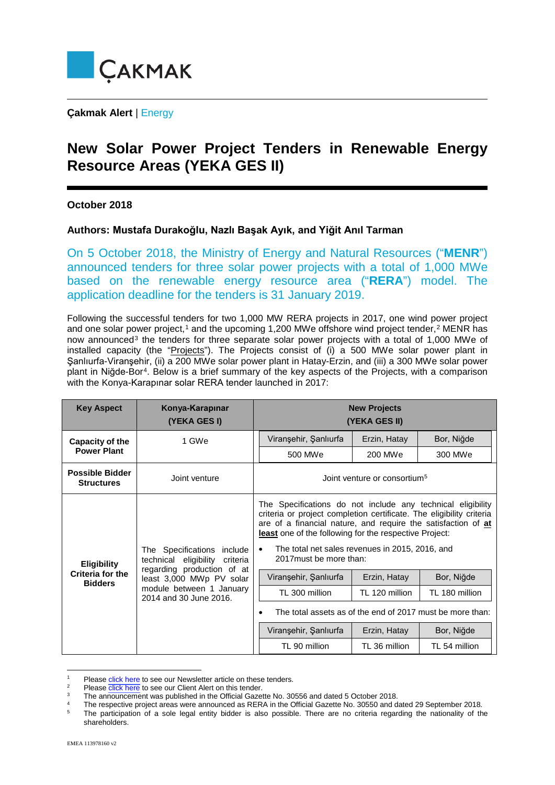

**Çakmak Alert** | Energy

## **New Solar Power Project Tenders in Renewable Energy Resource Areas (YEKA GES II)**

## **October 2018**

## **Authors: Mustafa Durakoğlu, Nazlı Başak Ayık, and Yiğit Anıl Tarman**

On 5 October 2018, the Ministry of Energy and Natural Resources ("**MENR**") announced tenders for three solar power projects with a total of 1,000 MWe based on the renewable energy resource area ("**RERA**") model. The application deadline for the tenders is 31 January 2019.

Following the successful tenders for two 1,000 MW RERA projects in 2017, one wind power project and one solar power project,<sup>[1](#page-0-0)</sup> and the upcoming 1,[2](#page-0-1)00 MWe offshore wind project tender,<sup>2</sup> MENR has now announced<sup>[3](#page-0-2)</sup> the tenders for three separate solar power projects with a total of 1,000 MWe of installed capacity (the "Projects"). The Projects consist of (i) a 500 MWe solar power plant in Şanlıurfa-Viranşehir, (ii) a 200 MWe solar power plant in Hatay-Erzin, and (iii) a 300 MWe solar power plant in Niğde-Bor[4.](#page-0-3) Below is a brief summary of the key aspects of the Projects, with a comparison with the Konya-Karapınar solar RERA tender launched in 2017:

| <b>Key Aspect</b>                                               | Konya-Karapınar<br>(YEKA GES I)                                                                                                                                                       | <b>New Projects</b><br>(YEKA GES II)                                                                                                                                                                                                                                                                                                                      |                                          |                              |
|-----------------------------------------------------------------|---------------------------------------------------------------------------------------------------------------------------------------------------------------------------------------|-----------------------------------------------------------------------------------------------------------------------------------------------------------------------------------------------------------------------------------------------------------------------------------------------------------------------------------------------------------|------------------------------------------|------------------------------|
| Capacity of the<br><b>Power Plant</b>                           | 1 GWe                                                                                                                                                                                 | Viranşehir, Şanlıurfa<br>500 MWe                                                                                                                                                                                                                                                                                                                          | Erzin, Hatay<br>200 MWe                  | Bor, Niğde<br>300 MWe        |
| <b>Possible Bidder</b><br><b>Structures</b>                     | Joint venture                                                                                                                                                                         |                                                                                                                                                                                                                                                                                                                                                           | Joint venture or consortium <sup>5</sup> |                              |
| <b>Eligibility</b><br><b>Criteria for the</b><br><b>Bidders</b> | The Specifications<br>include<br>eligibility<br>criteria<br>technical<br>regarding production of at<br>least 3,000 MWp PV solar<br>module between 1 January<br>2014 and 30 June 2016. | The Specifications do not include any technical eligibility<br>criteria or project completion certificate. The eligibility criteria<br>are of a financial nature, and require the satisfaction of at<br>least one of the following for the respective Project:<br>The total net sales revenues in 2015, 2016, and<br>$\bullet$<br>2017 must be more than: |                                          |                              |
|                                                                 |                                                                                                                                                                                       | Viranşehir, Şanlıurfa<br>TL 300 million                                                                                                                                                                                                                                                                                                                   | Erzin, Hatay<br>TL 120 million           | Bor, Niğde<br>TL 180 million |
|                                                                 |                                                                                                                                                                                       | The total assets as of the end of 2017 must be more than:                                                                                                                                                                                                                                                                                                 |                                          |                              |
|                                                                 |                                                                                                                                                                                       | Viranşehir, Şanlıurfa                                                                                                                                                                                                                                                                                                                                     | Erzin, Hatay                             | Bor, Niğde                   |
|                                                                 |                                                                                                                                                                                       | TL 90 million                                                                                                                                                                                                                                                                                                                                             | TL 36 million                            | TL 54 million                |

<span id="page-0-0"></span><sup>1</sup> Please [click here](http://www.cakmak.av.tr/newsletters/Newsletter2017Fall.pdf) to see our Newsletter article on these tenders.

<sup>2</sup> Please [click here](http://www.cakmak.av.tr/articles/Power/OffshoreWindRERA.pdf) to see our Client Alert on this tender.

<span id="page-0-2"></span><span id="page-0-1"></span><sup>3</sup> The announcement was published in the Official Gazette No. 30556 and dated 5 October 2018.

<span id="page-0-4"></span><span id="page-0-3"></span><sup>4</sup> 5 The respective project areas were announced as RERA in the Official Gazette No. 30550 and dated 29 September 2018. The participation of a sole legal entity bidder is also possible. There are no criteria regarding the nationality of the shareholders.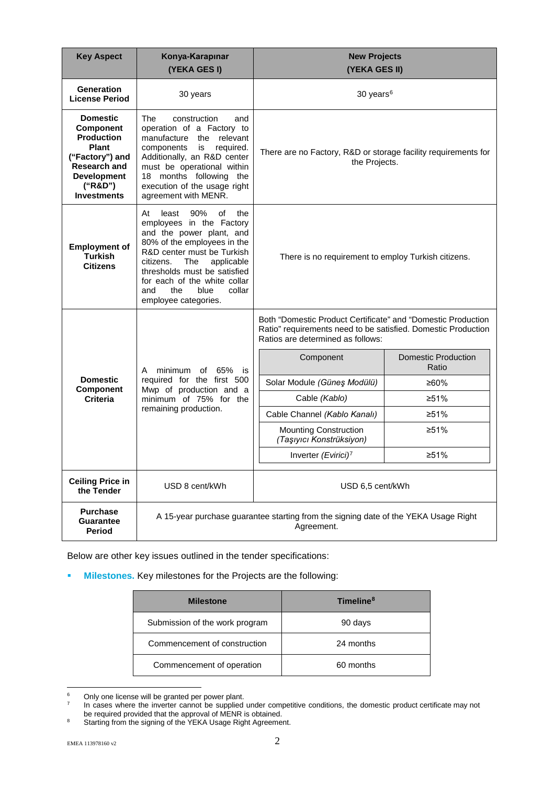| <b>Key Aspect</b>                                                                                                                                                         | Konya-Karapınar<br>(YEKA GES I)                                                                                                                                                                                                                                                                                | <b>New Projects</b><br>(YEKA GES II)                                                                                                                               |                                     |
|---------------------------------------------------------------------------------------------------------------------------------------------------------------------------|----------------------------------------------------------------------------------------------------------------------------------------------------------------------------------------------------------------------------------------------------------------------------------------------------------------|--------------------------------------------------------------------------------------------------------------------------------------------------------------------|-------------------------------------|
| <b>Generation</b><br><b>License Period</b>                                                                                                                                | 30 years                                                                                                                                                                                                                                                                                                       | 30 years <sup>6</sup>                                                                                                                                              |                                     |
| <b>Domestic</b><br><b>Component</b><br><b>Production</b><br><b>Plant</b><br>("Factory") and<br><b>Research and</b><br><b>Development</b><br>("R&D")<br><b>Investments</b> | The<br>construction<br>and<br>operation of a Factory to<br>manufacture the relevant<br>components<br>is<br>required.<br>Additionally, an R&D center<br>must be operational within<br>18 months following the<br>execution of the usage right<br>agreement with MENR.                                           | There are no Factory, R&D or storage facility requirements for<br>the Projects.                                                                                    |                                     |
| <b>Employment of</b><br><b>Turkish</b><br><b>Citizens</b>                                                                                                                 | least<br>At<br>90%<br>οf<br>the<br>employees in the Factory<br>and the power plant, and<br>80% of the employees in the<br>R&D center must be Turkish<br>citizens.<br>The<br>applicable<br>thresholds must be satisfied<br>for each of the white collar<br>collar<br>and<br>the<br>blue<br>employee categories. | There is no requirement to employ Turkish citizens.                                                                                                                |                                     |
|                                                                                                                                                                           | of 65%<br>minimum<br>A<br>is                                                                                                                                                                                                                                                                                   | Both "Domestic Product Certificate" and "Domestic Production<br>Ratio" requirements need to be satisfied. Domestic Production<br>Ratios are determined as follows: |                                     |
|                                                                                                                                                                           |                                                                                                                                                                                                                                                                                                                | Component                                                                                                                                                          | <b>Domestic Production</b><br>Ratio |
| <b>Domestic</b><br><b>Component</b>                                                                                                                                       | required for the first 500                                                                                                                                                                                                                                                                                     | Solar Module (Güneş Modülü)                                                                                                                                        | ≥60%                                |
| <b>Criteria</b>                                                                                                                                                           | Mwp of production and a<br>minimum of 75% for the<br>remaining production.                                                                                                                                                                                                                                     | Cable (Kablo)                                                                                                                                                      | ≥51%                                |
|                                                                                                                                                                           |                                                                                                                                                                                                                                                                                                                | Cable Channel (Kablo Kanalı)                                                                                                                                       | ≥51%                                |
|                                                                                                                                                                           |                                                                                                                                                                                                                                                                                                                | <b>Mounting Construction</b><br>(Taşıyıcı Konstrüksiyon)                                                                                                           | ≥51%                                |
|                                                                                                                                                                           |                                                                                                                                                                                                                                                                                                                | Inverter (Evirici) <sup>7</sup>                                                                                                                                    | ≥51%                                |
| <b>Ceiling Price in</b><br>the Tender                                                                                                                                     | USD 8 cent/kWh                                                                                                                                                                                                                                                                                                 | USD 6,5 cent/kWh                                                                                                                                                   |                                     |
| <b>Purchase</b><br><b>Guarantee</b><br>Period                                                                                                                             | A 15-year purchase guarantee starting from the signing date of the YEKA Usage Right<br>Agreement.                                                                                                                                                                                                              |                                                                                                                                                                    |                                     |

Below are other key issues outlined in the tender specifications:

**Milestones.** Key milestones for the Projects are the following:

| <b>Milestone</b>               | Timeline <sup>8</sup> |
|--------------------------------|-----------------------|
| Submission of the work program | 90 days               |
| Commencement of construction   | 24 months             |
| Commencement of operation      | 60 months             |

<span id="page-1-0"></span><sup>6</sup> Only one license will be granted per power plant.

<span id="page-1-1"></span><sup>7</sup> In cases where the inverter cannot be supplied under competitive conditions, the domestic product certificate may not be required provided that the approval of MENR is obtained.

<span id="page-1-2"></span><sup>8</sup> Starting from the signing of the YEKA Usage Right Agreement.